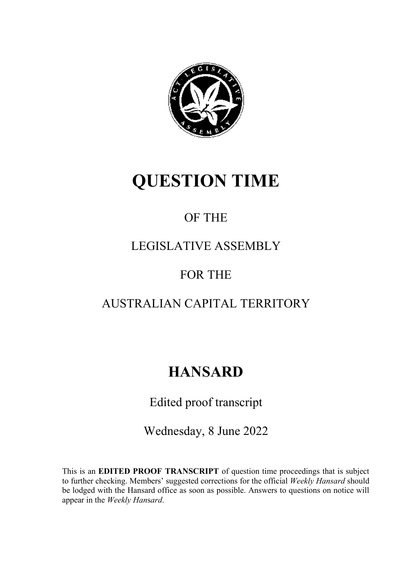

# **QUESTION TIME**

## OF THE

### LEGISLATIVE ASSEMBLY

### FOR THE

### AUSTRALIAN CAPITAL TERRITORY

# **HANSARD**

### Edited proof transcript

Wednesday, 8 June 2022

This is an **EDITED PROOF TRANSCRIPT** of question time proceedings that is subject to further checking. Members' suggested corrections for the official *Weekly Hansard* should be lodged with the Hansard office as soon as possible. Answers to questions on notice will appear in the *Weekly Han*s*ard*.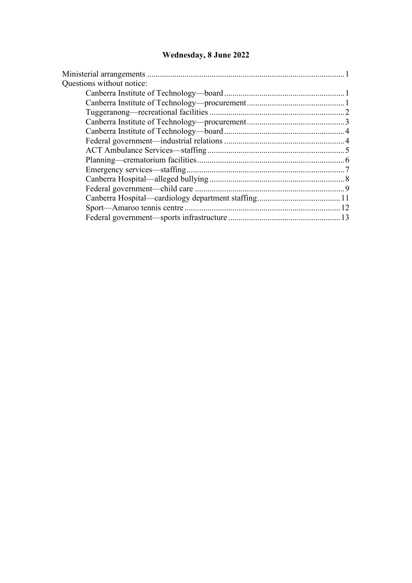### **Wednesday, 8 June 2022**

| Questions without notice: |  |
|---------------------------|--|
|                           |  |
|                           |  |
|                           |  |
|                           |  |
|                           |  |
|                           |  |
|                           |  |
|                           |  |
|                           |  |
|                           |  |
|                           |  |
|                           |  |
|                           |  |
|                           |  |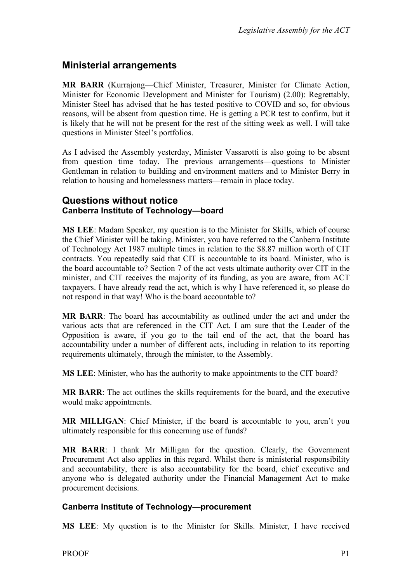### <span id="page-2-0"></span>**Ministerial arrangements**

**MR BARR** (Kurrajong—Chief Minister, Treasurer, Minister for Climate Action, Minister for Economic Development and Minister for Tourism) (2.00): Regrettably, Minister Steel has advised that he has tested positive to COVID and so, for obvious reasons, will be absent from question time. He is getting a PCR test to confirm, but it is likely that he will not be present for the rest of the sitting week as well. I will take questions in Minister Steel's portfolios.

As I advised the Assembly yesterday, Minister Vassarotti is also going to be absent from question time today. The previous arrangements—questions to Minister Gentleman in relation to building and environment matters and to Minister Berry in relation to housing and homelessness matters—remain in place today.

#### <span id="page-2-2"></span><span id="page-2-1"></span>**Questions without notice Canberra Institute of Technology—board**

**MS LEE**: Madam Speaker, my question is to the Minister for Skills, which of course the Chief Minister will be taking. Minister, you have referred to the Canberra Institute of Technology Act 1987 multiple times in relation to the \$8.87 million worth of CIT contracts. You repeatedly said that CIT is accountable to its board. Minister, who is the board accountable to? Section 7 of the act vests ultimate authority over CIT in the minister, and CIT receives the majority of its funding, as you are aware, from ACT taxpayers. I have already read the act, which is why I have referenced it, so please do not respond in that way! Who is the board accountable to?

**MR BARR**: The board has accountability as outlined under the act and under the various acts that are referenced in the CIT Act. I am sure that the Leader of the Opposition is aware, if you go to the tail end of the act, that the board has accountability under a number of different acts, including in relation to its reporting requirements ultimately, through the minister, to the Assembly.

**MS LEE**: Minister, who has the authority to make appointments to the CIT board?

**MR BARR**: The act outlines the skills requirements for the board, and the executive would make appointments.

**MR MILLIGAN**: Chief Minister, if the board is accountable to you, aren't you ultimately responsible for this concerning use of funds?

**MR BARR**: I thank Mr Milligan for the question. Clearly, the Government Procurement Act also applies in this regard. Whilst there is ministerial responsibility and accountability, there is also accountability for the board, chief executive and anyone who is delegated authority under the Financial Management Act to make procurement decisions.

#### <span id="page-2-3"></span>**Canberra Institute of Technology—procurement**

**MS LEE**: My question is to the Minister for Skills. Minister, I have received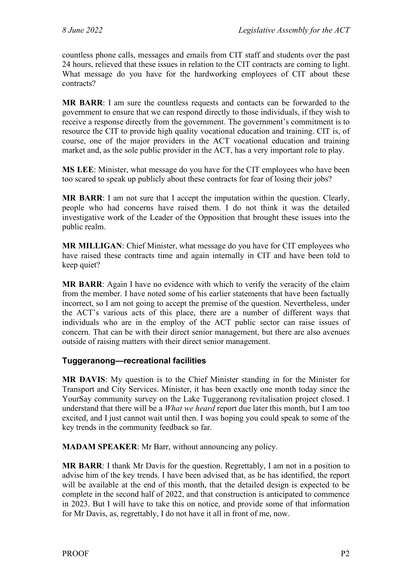countless phone calls, messages and emails from CIT staff and students over the past 24 hours, relieved that these issues in relation to the CIT contracts are coming to light. What message do you have for the hardworking employees of CIT about these contracts?

**MR BARR**: I am sure the countless requests and contacts can be forwarded to the government to ensure that we can respond directly to those individuals, if they wish to receive a response directly from the government. The government's commitment is to resource the CIT to provide high quality vocational education and training. CIT is, of course, one of the major providers in the ACT vocational education and training market and, as the sole public provider in the ACT, has a very important role to play.

**MS LEE**: Minister, what message do you have for the CIT employees who have been too scared to speak up publicly about these contracts for fear of losing their jobs?

**MR BARR**: I am not sure that I accept the imputation within the question. Clearly, people who had concerns have raised them. I do not think it was the detailed investigative work of the Leader of the Opposition that brought these issues into the public realm.

**MR MILLIGAN**: Chief Minister, what message do you have for CIT employees who have raised these contracts time and again internally in CIT and have been told to keep quiet?

**MR BARR**: Again I have no evidence with which to verify the veracity of the claim from the member. I have noted some of his earlier statements that have been factually incorrect, so I am not going to accept the premise of the question. Nevertheless, under the ACT's various acts of this place, there are a number of different ways that individuals who are in the employ of the ACT public sector can raise issues of concern. That can be with their direct senior management, but there are also avenues outside of raising matters with their direct senior management.

#### <span id="page-3-0"></span>**Tuggeranong—recreational facilities**

**MR DAVIS**: My question is to the Chief Minister standing in for the Minister for Transport and City Services. Minister, it has been exactly one month today since the YourSay community survey on the Lake Tuggeranong revitalisation project closed. I understand that there will be a *What we heard* report due later this month, but I am too excited, and I just cannot wait until then. I was hoping you could speak to some of the key trends in the community feedback so far.

**MADAM SPEAKER**: Mr Barr, without announcing any policy.

**MR BARR**: I thank Mr Davis for the question. Regrettably, I am not in a position to advise him of the key trends. I have been advised that, as he has identified, the report will be available at the end of this month, that the detailed design is expected to be complete in the second half of 2022, and that construction is anticipated to commence in 2023. But I will have to take this on notice, and provide some of that information for Mr Davis, as, regrettably, I do not have it all in front of me, now.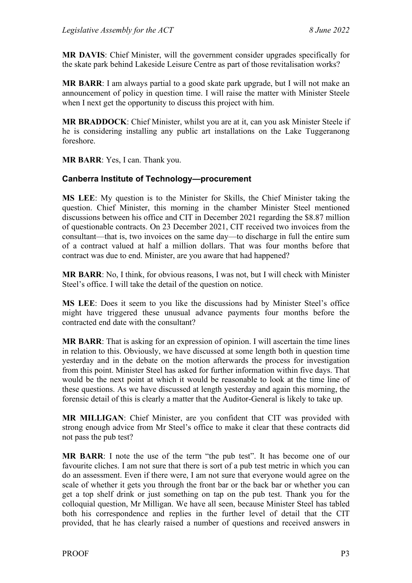**MR DAVIS**: Chief Minister, will the government consider upgrades specifically for the skate park behind Lakeside Leisure Centre as part of those revitalisation works?

**MR BARR**: I am always partial to a good skate park upgrade, but I will not make an announcement of policy in question time. I will raise the matter with Minister Steele when I next get the opportunity to discuss this project with him.

**MR BRADDOCK**: Chief Minister, whilst you are at it, can you ask Minister Steele if he is considering installing any public art installations on the Lake Tuggeranong foreshore.

**MR BARR**: Yes, I can. Thank you.

#### <span id="page-4-0"></span>**Canberra Institute of Technology—procurement**

**MS LEE**: My question is to the Minister for Skills, the Chief Minister taking the question. Chief Minister, this morning in the chamber Minister Steel mentioned discussions between his office and CIT in December 2021 regarding the \$8.87 million of questionable contracts. On 23 December 2021, CIT received two invoices from the consultant—that is, two invoices on the same day—to discharge in full the entire sum of a contract valued at half a million dollars. That was four months before that contract was due to end. Minister, are you aware that had happened?

**MR BARR**: No, I think, for obvious reasons, I was not, but I will check with Minister Steel's office. I will take the detail of the question on notice.

**MS LEE**: Does it seem to you like the discussions had by Minister Steel's office might have triggered these unusual advance payments four months before the contracted end date with the consultant?

**MR BARR**: That is asking for an expression of opinion. I will ascertain the time lines in relation to this. Obviously, we have discussed at some length both in question time yesterday and in the debate on the motion afterwards the process for investigation from this point. Minister Steel has asked for further information within five days. That would be the next point at which it would be reasonable to look at the time line of these questions. As we have discussed at length yesterday and again this morning, the forensic detail of this is clearly a matter that the Auditor-General is likely to take up.

**MR MILLIGAN**: Chief Minister, are you confident that CIT was provided with strong enough advice from Mr Steel's office to make it clear that these contracts did not pass the pub test?

**MR BARR**: I note the use of the term "the pub test". It has become one of our favourite cliches. I am not sure that there is sort of a pub test metric in which you can do an assessment. Even if there were, I am not sure that everyone would agree on the scale of whether it gets you through the front bar or the back bar or whether you can get a top shelf drink or just something on tap on the pub test. Thank you for the colloquial question, Mr Milligan. We have all seen, because Minister Steel has tabled both his correspondence and replies in the further level of detail that the CIT provided, that he has clearly raised a number of questions and received answers in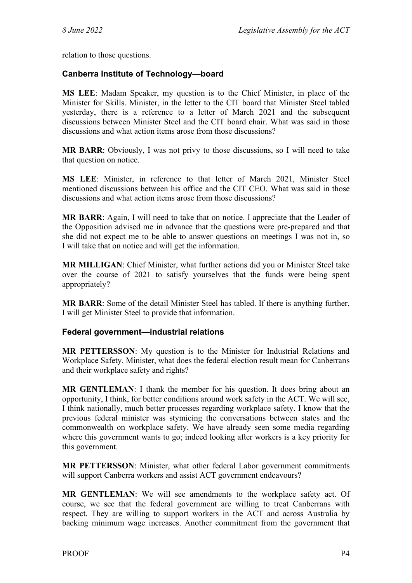relation to those questions.

#### <span id="page-5-0"></span>**Canberra Institute of Technology—board**

**MS LEE**: Madam Speaker, my question is to the Chief Minister, in place of the Minister for Skills. Minister, in the letter to the CIT board that Minister Steel tabled yesterday, there is a reference to a letter of March 2021 and the subsequent discussions between Minister Steel and the CIT board chair. What was said in those discussions and what action items arose from those discussions?

**MR BARR**: Obviously, I was not privy to those discussions, so I will need to take that question on notice.

**MS LEE**: Minister, in reference to that letter of March 2021, Minister Steel mentioned discussions between his office and the CIT CEO. What was said in those discussions and what action items arose from those discussions?

**MR BARR**: Again, I will need to take that on notice. I appreciate that the Leader of the Opposition advised me in advance that the questions were pre-prepared and that she did not expect me to be able to answer questions on meetings I was not in, so I will take that on notice and will get the information.

**MR MILLIGAN**: Chief Minister, what further actions did you or Minister Steel take over the course of 2021 to satisfy yourselves that the funds were being spent appropriately?

**MR BARR**: Some of the detail Minister Steel has tabled. If there is anything further, I will get Minister Steel to provide that information.

#### <span id="page-5-1"></span>**Federal government—industrial relations**

**MR PETTERSSON**: My question is to the Minister for Industrial Relations and Workplace Safety. Minister, what does the federal election result mean for Canberrans and their workplace safety and rights?

**MR GENTLEMAN**: I thank the member for his question. It does bring about an opportunity, I think, for better conditions around work safety in the ACT. We will see, I think nationally, much better processes regarding workplace safety. I know that the previous federal minister was stymieing the conversations between states and the commonwealth on workplace safety. We have already seen some media regarding where this government wants to go; indeed looking after workers is a key priority for this government.

**MR PETTERSSON**: Minister, what other federal Labor government commitments will support Canberra workers and assist ACT government endeavours?

**MR GENTLEMAN**: We will see amendments to the workplace safety act. Of course, we see that the federal government are willing to treat Canberrans with respect. They are willing to support workers in the ACT and across Australia by backing minimum wage increases. Another commitment from the government that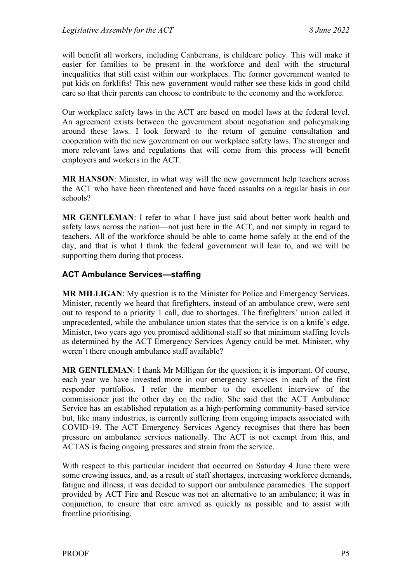will benefit all workers, including Canberrans, is childcare policy. This will make it easier for families to be present in the workforce and deal with the structural inequalities that still exist within our workplaces. The former government wanted to put kids on forklifts! This new government would rather see these kids in good child care so that their parents can choose to contribute to the economy and the workforce.

Our workplace safety laws in the ACT are based on model laws at the federal level. An agreement exists between the government about negotiation and policymaking around these laws. I look forward to the return of genuine consultation and cooperation with the new government on our workplace safety laws. The stronger and more relevant laws and regulations that will come from this process will benefit employers and workers in the ACT.

**MR HANSON**: Minister, in what way will the new government help teachers across the ACT who have been threatened and have faced assaults on a regular basis in our schools?

**MR GENTLEMAN**: I refer to what I have just said about better work health and safety laws across the nation—not just here in the ACT, and not simply in regard to teachers. All of the workforce should be able to come home safely at the end of the day, and that is what I think the federal government will lean to, and we will be supporting them during that process.

#### <span id="page-6-0"></span>**ACT Ambulance Services—staffing**

**MR MILLIGAN**: My question is to the Minister for Police and Emergency Services. Minister, recently we heard that firefighters, instead of an ambulance crew, were sent out to respond to a priority 1 call, due to shortages. The firefighters' union called it unprecedented, while the ambulance union states that the service is on a knife's edge. Minister, two years ago you promised additional staff so that minimum staffing levels as determined by the ACT Emergency Services Agency could be met. Minister, why weren't there enough ambulance staff available?

**MR GENTLEMAN**: I thank Mr Milligan for the question; it is important. Of course, each year we have invested more in our emergency services in each of the first responder portfolios. I refer the member to the excellent interview of the commissioner just the other day on the radio. She said that the ACT Ambulance Service has an established reputation as a high-performing community-based service but, like many industries, is currently suffering from ongoing impacts associated with COVID-19. The ACT Emergency Services Agency recognises that there has been pressure on ambulance services nationally. The ACT is not exempt from this, and ACTAS is facing ongoing pressures and strain from the service.

With respect to this particular incident that occurred on Saturday 4 June there were some crewing issues, and, as a result of staff shortages, increasing workforce demands, fatigue and illness, it was decided to support our ambulance paramedics. The support provided by ACT Fire and Rescue was not an alternative to an ambulance; it was in conjunction, to ensure that care arrived as quickly as possible and to assist with frontline prioritising.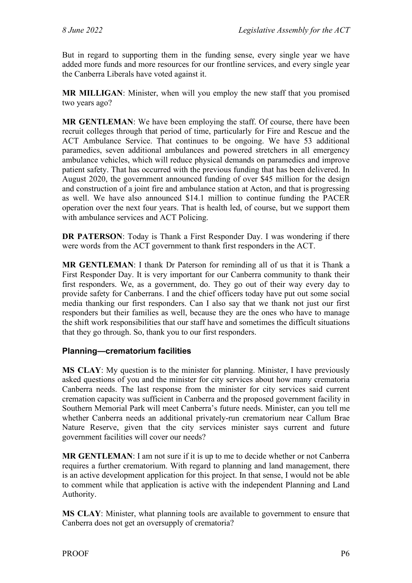But in regard to supporting them in the funding sense, every single year we have added more funds and more resources for our frontline services, and every single year the Canberra Liberals have voted against it.

**MR MILLIGAN**: Minister, when will you employ the new staff that you promised two years ago?

**MR GENTLEMAN**: We have been employing the staff. Of course, there have been recruit colleges through that period of time, particularly for Fire and Rescue and the ACT Ambulance Service. That continues to be ongoing. We have 53 additional paramedics, seven additional ambulances and powered stretchers in all emergency ambulance vehicles, which will reduce physical demands on paramedics and improve patient safety. That has occurred with the previous funding that has been delivered. In August 2020, the government announced funding of over \$45 million for the design and construction of a joint fire and ambulance station at Acton, and that is progressing as well. We have also announced \$14.1 million to continue funding the PACER operation over the next four years. That is health led, of course, but we support them with ambulance services and ACT Policing.

**DR PATERSON**: Today is Thank a First Responder Day. I was wondering if there were words from the ACT government to thank first responders in the ACT.

**MR GENTLEMAN**: I thank Dr Paterson for reminding all of us that it is Thank a First Responder Day. It is very important for our Canberra community to thank their first responders. We, as a government, do. They go out of their way every day to provide safety for Canberrans. I and the chief officers today have put out some social media thanking our first responders. Can I also say that we thank not just our first responders but their families as well, because they are the ones who have to manage the shift work responsibilities that our staff have and sometimes the difficult situations that they go through. So, thank you to our first responders.

#### <span id="page-7-0"></span>**Planning—crematorium facilities**

**MS CLAY**: My question is to the minister for planning. Minister, I have previously asked questions of you and the minister for city services about how many crematoria Canberra needs. The last response from the minister for city services said current cremation capacity was sufficient in Canberra and the proposed government facility in Southern Memorial Park will meet Canberra's future needs. Minister, can you tell me whether Canberra needs an additional privately-run crematorium near Callum Brae Nature Reserve, given that the city services minister says current and future government facilities will cover our needs?

**MR GENTLEMAN**: I am not sure if it is up to me to decide whether or not Canberra requires a further crematorium. With regard to planning and land management, there is an active development application for this project. In that sense, I would not be able to comment while that application is active with the independent Planning and Land Authority.

**MS CLAY**: Minister, what planning tools are available to government to ensure that Canberra does not get an oversupply of crematoria?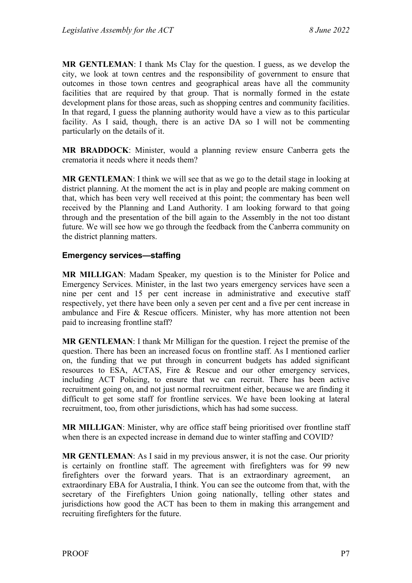**MR GENTLEMAN**: I thank Ms Clay for the question. I guess, as we develop the city, we look at town centres and the responsibility of government to ensure that outcomes in those town centres and geographical areas have all the community facilities that are required by that group. That is normally formed in the estate development plans for those areas, such as shopping centres and community facilities. In that regard, I guess the planning authority would have a view as to this particular facility. As I said, though, there is an active DA so I will not be commenting particularly on the details of it.

**MR BRADDOCK**: Minister, would a planning review ensure Canberra gets the crematoria it needs where it needs them?

**MR GENTLEMAN**: I think we will see that as we go to the detail stage in looking at district planning. At the moment the act is in play and people are making comment on that, which has been very well received at this point; the commentary has been well received by the Planning and Land Authority. I am looking forward to that going through and the presentation of the bill again to the Assembly in the not too distant future. We will see how we go through the feedback from the Canberra community on the district planning matters.

#### <span id="page-8-0"></span>**Emergency services—staffing**

**MR MILLIGAN**: Madam Speaker, my question is to the Minister for Police and Emergency Services. Minister, in the last two years emergency services have seen a nine per cent and 15 per cent increase in administrative and executive staff respectively, yet there have been only a seven per cent and a five per cent increase in ambulance and Fire & Rescue officers. Minister, why has more attention not been paid to increasing frontline staff?

**MR GENTLEMAN**: I thank Mr Milligan for the question. I reject the premise of the question. There has been an increased focus on frontline staff. As I mentioned earlier on, the funding that we put through in concurrent budgets has added significant resources to ESA, ACTAS, Fire & Rescue and our other emergency services, including ACT Policing, to ensure that we can recruit. There has been active recruitment going on, and not just normal recruitment either, because we are finding it difficult to get some staff for frontline services. We have been looking at lateral recruitment, too, from other jurisdictions, which has had some success.

**MR MILLIGAN**: Minister, why are office staff being prioritised over frontline staff when there is an expected increase in demand due to winter staffing and COVID?

**MR GENTLEMAN**: As I said in my previous answer, it is not the case. Our priority is certainly on frontline staff. The agreement with firefighters was for 99 new firefighters over the forward years. That is an extraordinary agreement, an extraordinary EBA for Australia, I think. You can see the outcome from that, with the secretary of the Firefighters Union going nationally, telling other states and jurisdictions how good the ACT has been to them in making this arrangement and recruiting firefighters for the future.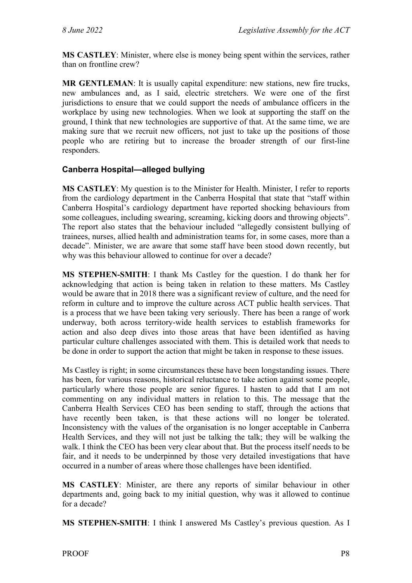**MS CASTLEY**: Minister, where else is money being spent within the services, rather than on frontline crew?

**MR GENTLEMAN**: It is usually capital expenditure: new stations, new fire trucks, new ambulances and, as I said, electric stretchers. We were one of the first jurisdictions to ensure that we could support the needs of ambulance officers in the workplace by using new technologies. When we look at supporting the staff on the ground, I think that new technologies are supportive of that. At the same time, we are making sure that we recruit new officers, not just to take up the positions of those people who are retiring but to increase the broader strength of our first-line responders.

#### <span id="page-9-0"></span>**Canberra Hospital—alleged bullying**

**MS CASTLEY**: My question is to the Minister for Health. Minister, I refer to reports from the cardiology department in the Canberra Hospital that state that "staff within Canberra Hospital's cardiology department have reported shocking behaviours from some colleagues, including swearing, screaming, kicking doors and throwing objects". The report also states that the behaviour included "allegedly consistent bullying of trainees, nurses, allied health and administration teams for, in some cases, more than a decade". Minister, we are aware that some staff have been stood down recently, but why was this behaviour allowed to continue for over a decade?

**MS STEPHEN-SMITH**: I thank Ms Castley for the question. I do thank her for acknowledging that action is being taken in relation to these matters. Ms Castley would be aware that in 2018 there was a significant review of culture, and the need for reform in culture and to improve the culture across ACT public health services. That is a process that we have been taking very seriously. There has been a range of work underway, both across territory-wide health services to establish frameworks for action and also deep dives into those areas that have been identified as having particular culture challenges associated with them. This is detailed work that needs to be done in order to support the action that might be taken in response to these issues.

Ms Castley is right; in some circumstances these have been longstanding issues. There has been, for various reasons, historical reluctance to take action against some people, particularly where those people are senior figures. I hasten to add that I am not commenting on any individual matters in relation to this. The message that the Canberra Health Services CEO has been sending to staff, through the actions that have recently been taken, is that these actions will no longer be tolerated. Inconsistency with the values of the organisation is no longer acceptable in Canberra Health Services, and they will not just be talking the talk; they will be walking the walk. I think the CEO has been very clear about that. But the process itself needs to be fair, and it needs to be underpinned by those very detailed investigations that have occurred in a number of areas where those challenges have been identified.

**MS CASTLEY**: Minister, are there any reports of similar behaviour in other departments and, going back to my initial question, why was it allowed to continue for a decade?

**MS STEPHEN-SMITH**: I think I answered Ms Castley's previous question. As I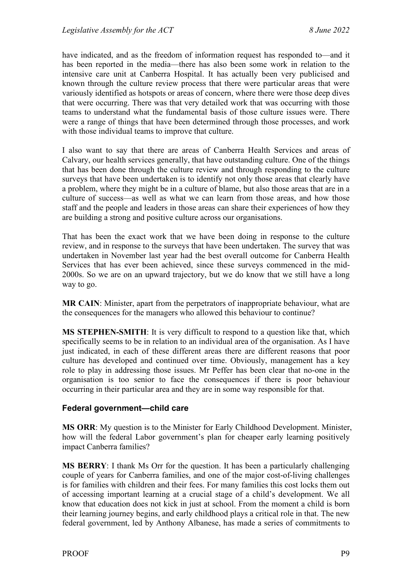have indicated, and as the freedom of information request has responded to—and it has been reported in the media—there has also been some work in relation to the intensive care unit at Canberra Hospital. It has actually been very publicised and known through the culture review process that there were particular areas that were variously identified as hotspots or areas of concern, where there were those deep dives that were occurring. There was that very detailed work that was occurring with those teams to understand what the fundamental basis of those culture issues were. There were a range of things that have been determined through those processes, and work with those individual teams to improve that culture.

I also want to say that there are areas of Canberra Health Services and areas of Calvary, our health services generally, that have outstanding culture. One of the things that has been done through the culture review and through responding to the culture surveys that have been undertaken is to identify not only those areas that clearly have a problem, where they might be in a culture of blame, but also those areas that are in a culture of success—as well as what we can learn from those areas, and how those staff and the people and leaders in those areas can share their experiences of how they are building a strong and positive culture across our organisations.

That has been the exact work that we have been doing in response to the culture review, and in response to the surveys that have been undertaken. The survey that was undertaken in November last year had the best overall outcome for Canberra Health Services that has ever been achieved, since these surveys commenced in the mid-2000s. So we are on an upward trajectory, but we do know that we still have a long way to go.

**MR CAIN**: Minister, apart from the perpetrators of inappropriate behaviour, what are the consequences for the managers who allowed this behaviour to continue?

**MS STEPHEN-SMITH**: It is very difficult to respond to a question like that, which specifically seems to be in relation to an individual area of the organisation. As I have just indicated, in each of these different areas there are different reasons that poor culture has developed and continued over time. Obviously, management has a key role to play in addressing those issues. Mr Peffer has been clear that no-one in the organisation is too senior to face the consequences if there is poor behaviour occurring in their particular area and they are in some way responsible for that.

#### <span id="page-10-0"></span>**Federal government—child care**

**MS ORR**: My question is to the Minister for Early Childhood Development. Minister, how will the federal Labor government's plan for cheaper early learning positively impact Canberra families?

**MS BERRY**: I thank Ms Orr for the question. It has been a particularly challenging couple of years for Canberra families, and one of the major cost-of-living challenges is for families with children and their fees. For many families this cost locks them out of accessing important learning at a crucial stage of a child's development. We all know that education does not kick in just at school. From the moment a child is born their learning journey begins, and early childhood plays a critical role in that. The new federal government, led by Anthony Albanese, has made a series of commitments to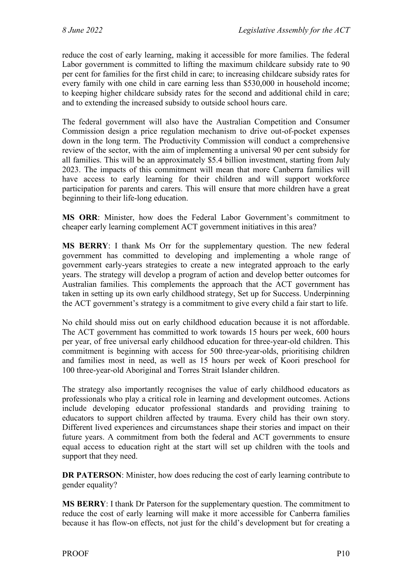reduce the cost of early learning, making it accessible for more families. The federal Labor government is committed to lifting the maximum childcare subsidy rate to 90 per cent for families for the first child in care; to increasing childcare subsidy rates for every family with one child in care earning less than \$530,000 in household income; to keeping higher childcare subsidy rates for the second and additional child in care; and to extending the increased subsidy to outside school hours care.

The federal government will also have the Australian Competition and Consumer Commission design a price regulation mechanism to drive out-of-pocket expenses down in the long term. The Productivity Commission will conduct a comprehensive review of the sector, with the aim of implementing a universal 90 per cent subsidy for all families. This will be an approximately \$5.4 billion investment, starting from July 2023. The impacts of this commitment will mean that more Canberra families will have access to early learning for their children and will support workforce participation for parents and carers. This will ensure that more children have a great beginning to their life-long education.

**MS ORR**: Minister, how does the Federal Labor Government's commitment to cheaper early learning complement ACT government initiatives in this area?

**MS BERRY**: I thank Ms Orr for the supplementary question. The new federal government has committed to developing and implementing a whole range of government early-years strategies to create a new integrated approach to the early years. The strategy will develop a program of action and develop better outcomes for Australian families. This complements the approach that the ACT government has taken in setting up its own early childhood strategy, Set up for Success. Underpinning the ACT government's strategy is a commitment to give every child a fair start to life.

No child should miss out on early childhood education because it is not affordable. The ACT government has committed to work towards 15 hours per week, 600 hours per year, of free universal early childhood education for three-year-old children. This commitment is beginning with access for 500 three-year-olds, prioritising children and families most in need, as well as 15 hours per week of Koori preschool for 100 three-year-old Aboriginal and Torres Strait Islander children.

The strategy also importantly recognises the value of early childhood educators as professionals who play a critical role in learning and development outcomes. Actions include developing educator professional standards and providing training to educators to support children affected by trauma. Every child has their own story. Different lived experiences and circumstances shape their stories and impact on their future years. A commitment from both the federal and ACT governments to ensure equal access to education right at the start will set up children with the tools and support that they need.

**DR PATERSON**: Minister, how does reducing the cost of early learning contribute to gender equality?

**MS BERRY**: I thank Dr Paterson for the supplementary question. The commitment to reduce the cost of early learning will make it more accessible for Canberra families because it has flow-on effects, not just for the child's development but for creating a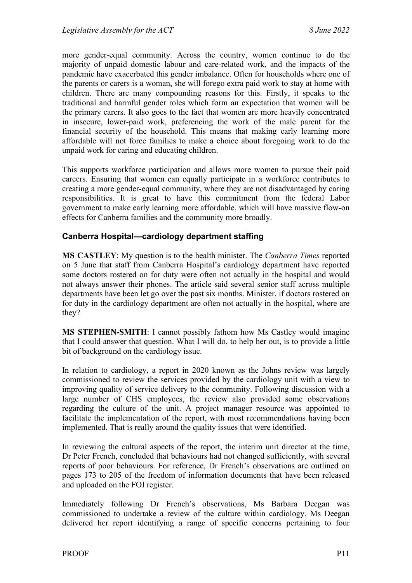more gender-equal community. Across the country, women continue to do the majority of unpaid domestic labour and care-related work, and the impacts of the pandemic have exacerbated this gender imbalance. Often for households where one of the parents or carers is a woman, she will forego extra paid work to stay at home with children. There are many compounding reasons for this. Firstly, it speaks to the traditional and harmful gender roles which form an expectation that women will be the primary carers. It also goes to the fact that women are more heavily concentrated in insecure, lower-paid work, preferencing the work of the male parent for the financial security of the household. This means that making early learning more affordable will not force families to make a choice about foregoing work to do the unpaid work for caring and educating children.

This supports workforce participation and allows more women to pursue their paid careers. Ensuring that women can equally participate in a workforce contributes to creating a more gender-equal community, where they are not disadvantaged by caring responsibilities. It is great to have this commitment from the federal Labor government to make early learning more affordable, which will have massive flow-on effects for Canberra families and the community more broadly.

#### <span id="page-12-0"></span>**Canberra Hospital—cardiology department staffing**

**MS CASTLEY**: My question is to the health minister. The *Canberra Times* reported on 5 June that staff from Canberra Hospital's cardiology department have reported some doctors rostered on for duty were often not actually in the hospital and would not always answer their phones. The article said several senior staff across multiple departments have been let go over the past six months. Minister, if doctors rostered on for duty in the cardiology department are often not actually in the hospital, where are they?

**MS STEPHEN-SMITH**: I cannot possibly fathom how Ms Castley would imagine that I could answer that question. What I will do, to help her out, is to provide a little bit of background on the cardiology issue.

In relation to cardiology, a report in 2020 known as the Johns review was largely commissioned to review the services provided by the cardiology unit with a view to improving quality of service delivery to the community. Following discussion with a large number of CHS employees, the review also provided some observations regarding the culture of the unit. A project manager resource was appointed to facilitate the implementation of the report, with most recommendations having been implemented. That is really around the quality issues that were identified.

In reviewing the cultural aspects of the report, the interim unit director at the time, Dr Peter French, concluded that behaviours had not changed sufficiently, with several reports of poor behaviours. For reference, Dr French's observations are outlined on pages 173 to 205 of the freedom of information documents that have been released and uploaded on the FOI register.

Immediately following Dr French's observations, Ms Barbara Deegan was commissioned to undertake a review of the culture within cardiology. Ms Deegan delivered her report identifying a range of specific concerns pertaining to four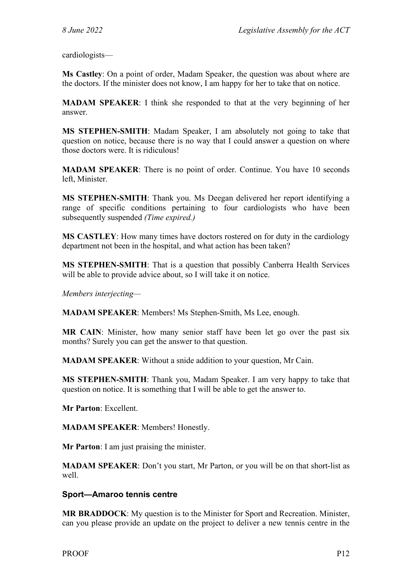cardiologists—

**Ms Castley**: On a point of order, Madam Speaker, the question was about where are the doctors. If the minister does not know, I am happy for her to take that on notice.

**MADAM SPEAKER**: I think she responded to that at the very beginning of her answer.

**MS STEPHEN-SMITH**: Madam Speaker, I am absolutely not going to take that question on notice, because there is no way that I could answer a question on where those doctors were. It is ridiculous!

**MADAM SPEAKER**: There is no point of order. Continue. You have 10 seconds left, Minister.

**MS STEPHEN-SMITH**: Thank you. Ms Deegan delivered her report identifying a range of specific conditions pertaining to four cardiologists who have been subsequently suspended *(Time expired.)*

**MS CASTLEY**: How many times have doctors rostered on for duty in the cardiology department not been in the hospital, and what action has been taken?

**MS STEPHEN-SMITH**: That is a question that possibly Canberra Health Services will be able to provide advice about, so I will take it on notice.

*Members interjecting—*

**MADAM SPEAKER**: Members! Ms Stephen-Smith, Ms Lee, enough.

**MR CAIN**: Minister, how many senior staff have been let go over the past six months? Surely you can get the answer to that question.

**MADAM SPEAKER**: Without a snide addition to your question, Mr Cain.

**MS STEPHEN-SMITH**: Thank you, Madam Speaker. I am very happy to take that question on notice. It is something that I will be able to get the answer to.

**Mr Parton**: Excellent.

**MADAM SPEAKER**: Members! Honestly.

**Mr Parton**: I am just praising the minister.

**MADAM SPEAKER**: Don't you start, Mr Parton, or you will be on that short-list as well.

#### <span id="page-13-0"></span>**Sport—Amaroo tennis centre**

**MR BRADDOCK**: My question is to the Minister for Sport and Recreation. Minister, can you please provide an update on the project to deliver a new tennis centre in the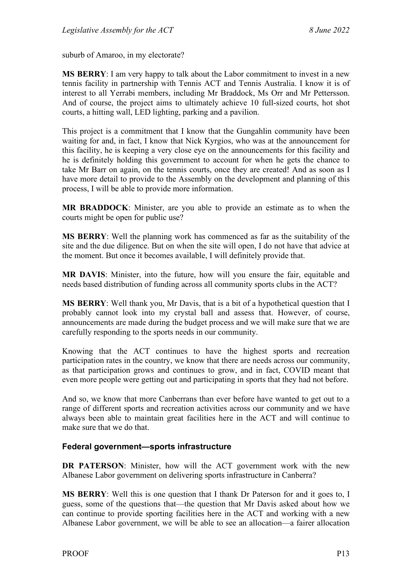suburb of Amaroo, in my electorate?

**MS BERRY**: I am very happy to talk about the Labor commitment to invest in a new tennis facility in partnership with Tennis ACT and Tennis Australia. I know it is of interest to all Yerrabi members, including Mr Braddock, Ms Orr and Mr Pettersson. And of course, the project aims to ultimately achieve 10 full-sized courts, hot shot courts, a hitting wall, LED lighting, parking and a pavilion.

This project is a commitment that I know that the Gungahlin community have been waiting for and, in fact, I know that Nick Kyrgios, who was at the announcement for this facility, he is keeping a very close eye on the announcements for this facility and he is definitely holding this government to account for when he gets the chance to take Mr Barr on again, on the tennis courts, once they are created! And as soon as I have more detail to provide to the Assembly on the development and planning of this process, I will be able to provide more information.

**MR BRADDOCK**: Minister, are you able to provide an estimate as to when the courts might be open for public use?

**MS BERRY**: Well the planning work has commenced as far as the suitability of the site and the due diligence. But on when the site will open, I do not have that advice at the moment. But once it becomes available, I will definitely provide that.

**MR DAVIS**: Minister, into the future, how will you ensure the fair, equitable and needs based distribution of funding across all community sports clubs in the ACT?

**MS BERRY**: Well thank you, Mr Davis, that is a bit of a hypothetical question that I probably cannot look into my crystal ball and assess that. However, of course, announcements are made during the budget process and we will make sure that we are carefully responding to the sports needs in our community.

Knowing that the ACT continues to have the highest sports and recreation participation rates in the country, we know that there are needs across our community, as that participation grows and continues to grow, and in fact, COVID meant that even more people were getting out and participating in sports that they had not before.

And so, we know that more Canberrans than ever before have wanted to get out to a range of different sports and recreation activities across our community and we have always been able to maintain great facilities here in the ACT and will continue to make sure that we do that.

#### <span id="page-14-0"></span>**Federal government—sports infrastructure**

**DR PATERSON**: Minister, how will the ACT government work with the new Albanese Labor government on delivering sports infrastructure in Canberra?

**MS BERRY**: Well this is one question that I thank Dr Paterson for and it goes to, I guess, some of the questions that—the question that Mr Davis asked about how we can continue to provide sporting facilities here in the ACT and working with a new Albanese Labor government, we will be able to see an allocation—a fairer allocation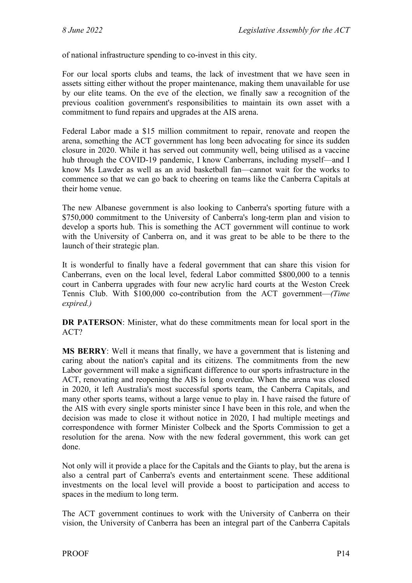of national infrastructure spending to co-invest in this city.

For our local sports clubs and teams, the lack of investment that we have seen in assets sitting either without the proper maintenance, making them unavailable for use by our elite teams. On the eve of the election, we finally saw a recognition of the previous coalition government's responsibilities to maintain its own asset with a commitment to fund repairs and upgrades at the AIS arena.

Federal Labor made a \$15 million commitment to repair, renovate and reopen the arena, something the ACT government has long been advocating for since its sudden closure in 2020. While it has served out community well, being utilised as a vaccine hub through the COVID-19 pandemic, I know Canberrans, including myself—and I know Ms Lawder as well as an avid basketball fan—cannot wait for the works to commence so that we can go back to cheering on teams like the Canberra Capitals at their home venue.

The new Albanese government is also looking to Canberra's sporting future with a \$750,000 commitment to the University of Canberra's long-term plan and vision to develop a sports hub. This is something the ACT government will continue to work with the University of Canberra on, and it was great to be able to be there to the launch of their strategic plan.

It is wonderful to finally have a federal government that can share this vision for Canberrans, even on the local level, federal Labor committed \$800,000 to a tennis court in Canberra upgrades with four new acrylic hard courts at the Weston Creek Tennis Club. With \$100,000 co-contribution from the ACT government—*(Time expired.)*

**DR PATERSON**: Minister, what do these commitments mean for local sport in the ACT?

**MS BERRY**: Well it means that finally, we have a government that is listening and caring about the nation's capital and its citizens. The commitments from the new Labor government will make a significant difference to our sports infrastructure in the ACT, renovating and reopening the AIS is long overdue. When the arena was closed in 2020, it left Australia's most successful sports team, the Canberra Capitals, and many other sports teams, without a large venue to play in. I have raised the future of the AIS with every single sports minister since I have been in this role, and when the decision was made to close it without notice in 2020, I had multiple meetings and correspondence with former Minister Colbeck and the Sports Commission to get a resolution for the arena. Now with the new federal government, this work can get done.

Not only will it provide a place for the Capitals and the Giants to play, but the arena is also a central part of Canberra's events and entertainment scene. These additional investments on the local level will provide a boost to participation and access to spaces in the medium to long term.

The ACT government continues to work with the University of Canberra on their vision, the University of Canberra has been an integral part of the Canberra Capitals